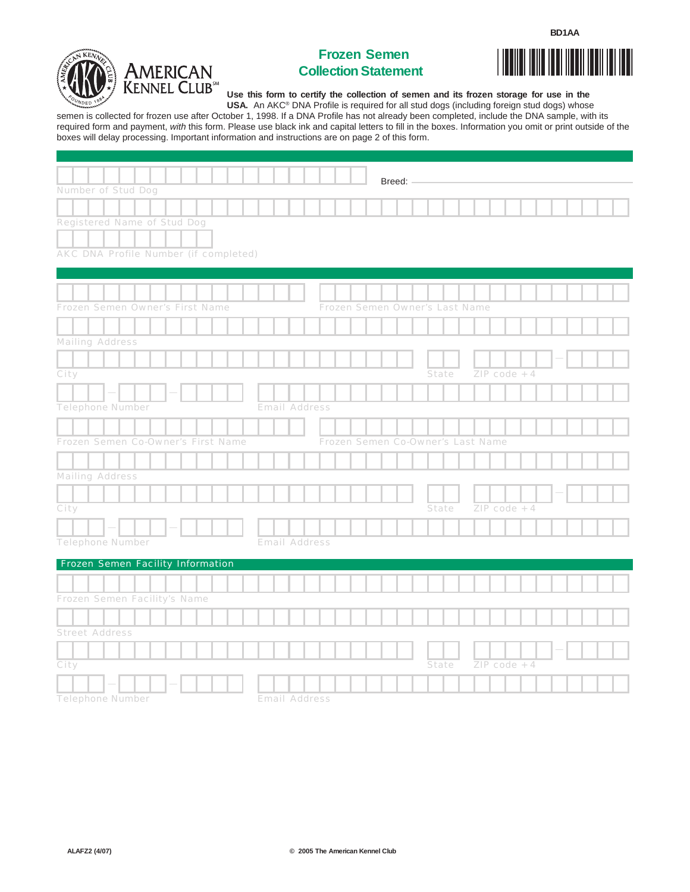



## **Frozen Semen Collection Statement**



**U se this form to certify the collection of semen and its frozen storage for use in the** 

**U SA.** An AKC® DNA Profile is required for all stud dogs (including foreign stud dogs) whose semen is collected for frozen use after October 1, 1998. If a DNA Profile has not already been completed, include the DNA sample, with its required form and payment, with this form. Please use black ink and capital letters to fill in the boxes. Information you omit or print outside of the boxes will delay processing. Important infor mation and instructions are on page 2 of this form.

|                                          | Breed: -                          |       |                |  |  |
|------------------------------------------|-----------------------------------|-------|----------------|--|--|
| Number of Stud Dog                       |                                   |       |                |  |  |
|                                          |                                   |       |                |  |  |
| Registered Name of Stud Dog              |                                   |       |                |  |  |
|                                          |                                   |       |                |  |  |
| AKC DNA Profile Number (if completed)    |                                   |       |                |  |  |
|                                          |                                   |       |                |  |  |
|                                          |                                   |       |                |  |  |
|                                          |                                   |       |                |  |  |
| Frozen Semen Owner's First Name          | Frozen Semen Owner's Last Name    |       |                |  |  |
|                                          |                                   |       |                |  |  |
| Mailing Address                          |                                   |       |                |  |  |
|                                          |                                   |       |                |  |  |
| City                                     |                                   | State | $ZIP code + 4$ |  |  |
|                                          |                                   |       |                |  |  |
| Telephone Number<br><b>Email Address</b> |                                   |       |                |  |  |
|                                          |                                   |       |                |  |  |
| Frozen Semen Co-Owner's First Name       | Frozen Semen Co-Owner's Last Name |       |                |  |  |
|                                          |                                   |       |                |  |  |
|                                          |                                   |       |                |  |  |
| Mailing Address                          |                                   |       |                |  |  |
|                                          |                                   |       |                |  |  |
| City                                     |                                   | State | $ZIP code + 4$ |  |  |
|                                          |                                   |       |                |  |  |
| Telephone Number<br><b>Email Address</b> |                                   |       |                |  |  |
| Frozen Semen Facility Information        |                                   |       |                |  |  |
|                                          |                                   |       |                |  |  |
|                                          |                                   |       |                |  |  |
| Frozen Semen Facility's Name             |                                   |       |                |  |  |
|                                          |                                   |       |                |  |  |
| <b>Street Address</b>                    |                                   |       |                |  |  |
|                                          |                                   |       |                |  |  |
| City                                     |                                   | State | $ZIP code + 4$ |  |  |
|                                          |                                   |       |                |  |  |
| <b>Telephone Number</b><br>Email Address |                                   |       |                |  |  |